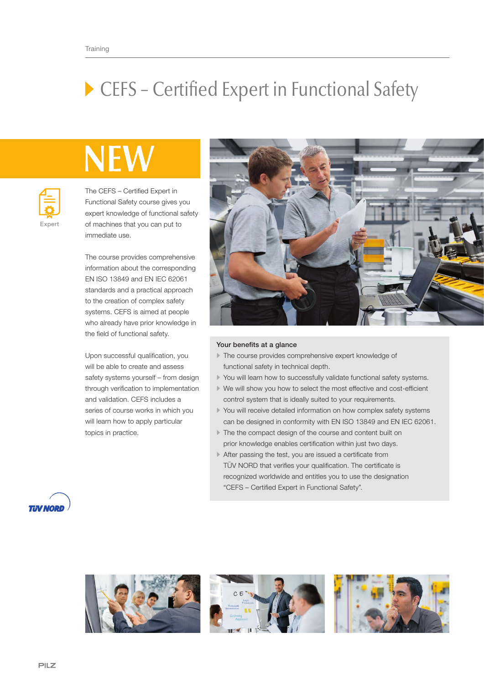## ▶ CEFS – Certified Expert in Functional Safety

## NEV



The CEFS – Certified Expert in Functional Safety course gives you expert knowledge of functional safety of machines that you can put to immediate use.

The course provides comprehensive information about the corresponding EN ISO 13849 and EN IEC 62061 standards and a practical approach to the creation of complex safety systems. CEFS is aimed at people who already have prior knowledge in the field of functional safety.

Upon successful qualification, you will be able to create and assess safety systems yourself – from design through verification to implementation and validation. CEFS includes a series of course works in which you will learn how to apply particular topics in practice.



## Your benefits at a glance

- The course provides comprehensive expert knowledge of functional safety in technical depth.
- You will learn how to successfully validate functional safety systems.
- We will show you how to select the most effective and cost-efficient control system that is ideally suited to your requirements.
- You will receive detailed information on how complex safety systems can be designed in conformity with EN ISO 13849 and EN IEC 62061.
- The the compact design of the course and content built on prior knowledge enables certification within just two days.
- After passing the test, you are issued a certificate from TÜV NORD that verifies your qualification. The certificate is recognized worldwide and entitles you to use the designation "CEFS – Certified Expert in Functional Safety".